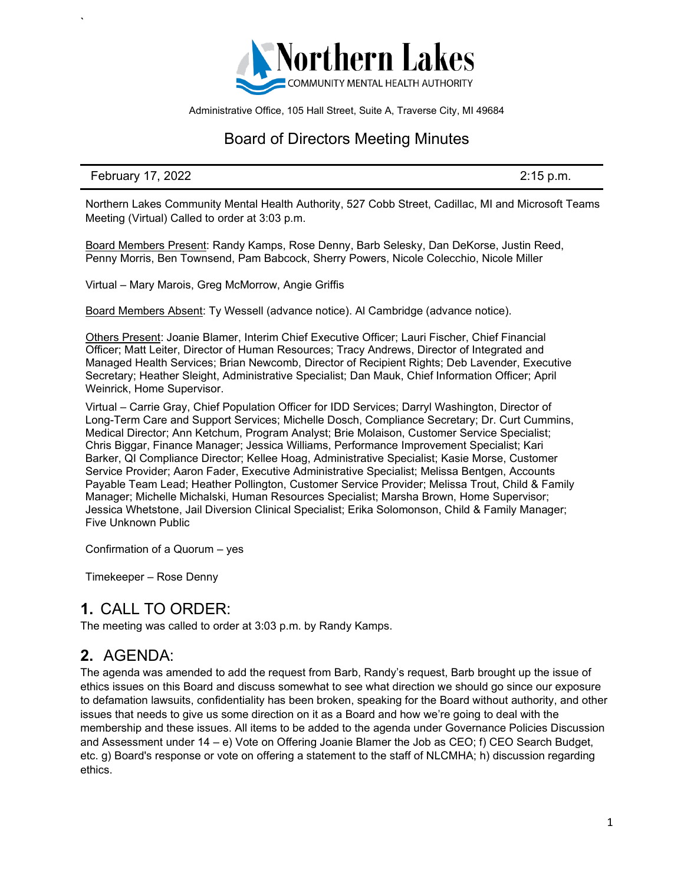

Administrative Office, 105 Hall Street, Suite A, Traverse City, MI 49684

### Board of Directors Meeting Minutes

#### February 17, 2022 2:15 p.m.

`

Northern Lakes Community Mental Health Authority, 527 Cobb Street, Cadillac, MI and Microsoft Teams Meeting (Virtual) Called to order at 3:03 p.m.

Board Members Present: Randy Kamps, Rose Denny, Barb Selesky, Dan DeKorse, Justin Reed, Penny Morris, Ben Townsend, Pam Babcock, Sherry Powers, Nicole Colecchio, Nicole Miller

Virtual – Mary Marois, Greg McMorrow, Angie Griffis

Board Members Absent: Ty Wessell (advance notice). Al Cambridge (advance notice).

Others Present: Joanie Blamer, Interim Chief Executive Officer; Lauri Fischer, Chief Financial Officer; Matt Leiter, Director of Human Resources; Tracy Andrews, Director of Integrated and Managed Health Services; Brian Newcomb, Director of Recipient Rights; Deb Lavender, Executive Secretary; Heather Sleight, Administrative Specialist; Dan Mauk, Chief Information Officer; April Weinrick, Home Supervisor.

Virtual – Carrie Gray, Chief Population Officer for IDD Services; Darryl Washington, Director of Long-Term Care and Support Services; Michelle Dosch, Compliance Secretary; Dr. Curt Cummins, Medical Director; Ann Ketchum, Program Analyst; Brie Molaison, Customer Service Specialist; Chris Biggar, Finance Manager; Jessica Williams, Performance Improvement Specialist; Kari Barker, QI Compliance Director; Kellee Hoag, Administrative Specialist; Kasie Morse, Customer Service Provider; Aaron Fader, Executive Administrative Specialist; Melissa Bentgen, Accounts Payable Team Lead; Heather Pollington, Customer Service Provider; Melissa Trout, Child & Family Manager; Michelle Michalski, Human Resources Specialist; Marsha Brown, Home Supervisor; Jessica Whetstone, Jail Diversion Clinical Specialist; Erika Solomonson, Child & Family Manager; Five Unknown Public

Confirmation of a Quorum – yes

Timekeeper – Rose Denny

#### **1.** CALL TO ORDER:

The meeting was called to order at 3:03 p.m. by Randy Kamps.

## **2.** AGENDA:

The agenda was amended to add the request from Barb, Randy's request, Barb brought up the issue of ethics issues on this Board and discuss somewhat to see what direction we should go since our exposure to defamation lawsuits, confidentiality has been broken, speaking for the Board without authority, and other issues that needs to give us some direction on it as a Board and how we're going to deal with the membership and these issues. All items to be added to the agenda under Governance Policies Discussion and Assessment under 14 – e) Vote on Offering Joanie Blamer the Job as CEO; f) CEO Search Budget, etc. g) Board's response or vote on offering a statement to the staff of NLCMHA; h) discussion regarding ethics.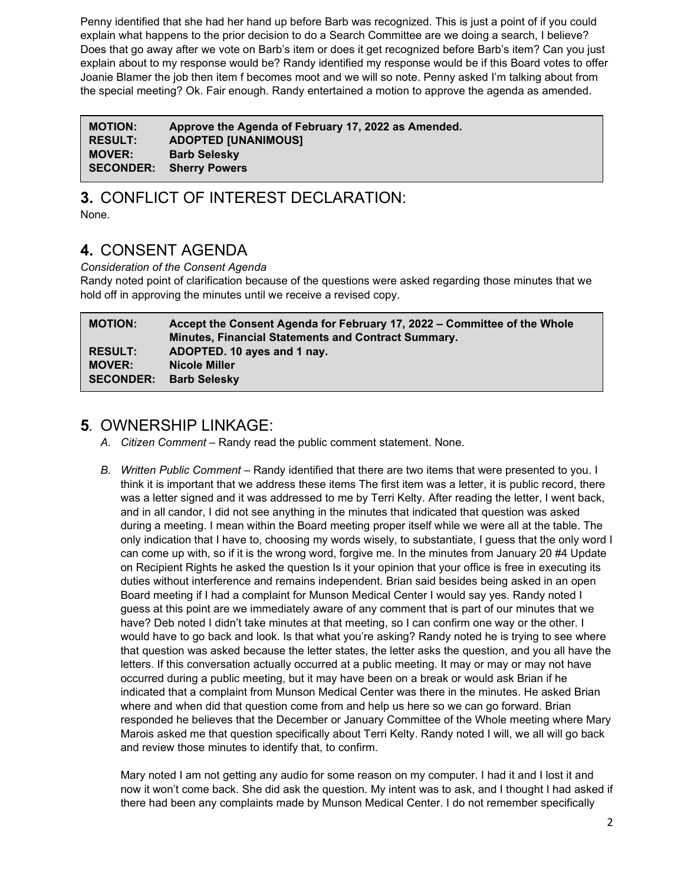Penny identified that she had her hand up before Barb was recognized. This is just a point of if you could explain what happens to the prior decision to do a Search Committee are we doing a search, I believe? Does that go away after we vote on Barb's item or does it get recognized before Barb's item? Can you just explain about to my response would be? Randy identified my response would be if this Board votes to offer Joanie Blamer the job then item f becomes moot and we will so note. Penny asked I'm talking about from the special meeting? Ok. Fair enough. Randy entertained a motion to approve the agenda as amended.

| <b>MOTION:</b> | Approve the Agenda of February 17, 2022 as Amended. |
|----------------|-----------------------------------------------------|
| <b>RESULT:</b> | <b>ADOPTED [UNANIMOUS]</b>                          |
| <b>MOVER:</b>  | <b>Barb Selesky</b>                                 |
|                | <b>SECONDER: Sherry Powers</b>                      |

# **3.** CONFLICT OF INTEREST DECLARATION:

None.

# **4.** CONSENT AGENDA

*Consideration of the Consent Agenda*

Randy noted point of clarification because of the questions were asked regarding those minutes that we hold off in approving the minutes until we receive a revised copy.

| <b>MOTION:</b>   | Accept the Consent Agenda for February 17, 2022 – Committee of the Whole<br><b>Minutes, Financial Statements and Contract Summary.</b> |
|------------------|----------------------------------------------------------------------------------------------------------------------------------------|
| <b>RESULT:</b>   | ADOPTED. 10 ayes and 1 nay.                                                                                                            |
| <b>MOVER:</b>    | <b>Nicole Miller</b>                                                                                                                   |
| <b>SECONDER:</b> | <b>Barb Selesky</b>                                                                                                                    |

## **5.** OWNERSHIP LINKAGE:

- *A. Citizen Comment* Randy read the public comment statement. None.
- *B. Written Public Comment –* Randy identified that there are two items that were presented to you. I think it is important that we address these items The first item was a letter, it is public record, there was a letter signed and it was addressed to me by Terri Kelty. After reading the letter, I went back, and in all candor, I did not see anything in the minutes that indicated that question was asked during a meeting. I mean within the Board meeting proper itself while we were all at the table. The only indication that I have to, choosing my words wisely, to substantiate, I guess that the only word I can come up with, so if it is the wrong word, forgive me. In the minutes from January 20 #4 Update on Recipient Rights he asked the question Is it your opinion that your office is free in executing its duties without interference and remains independent. Brian said besides being asked in an open Board meeting if I had a complaint for Munson Medical Center I would say yes. Randy noted I guess at this point are we immediately aware of any comment that is part of our minutes that we have? Deb noted I didn't take minutes at that meeting, so I can confirm one way or the other. I would have to go back and look. Is that what you're asking? Randy noted he is trying to see where that question was asked because the letter states, the letter asks the question, and you all have the letters. If this conversation actually occurred at a public meeting. It may or may or may not have occurred during a public meeting, but it may have been on a break or would ask Brian if he indicated that a complaint from Munson Medical Center was there in the minutes. He asked Brian where and when did that question come from and help us here so we can go forward. Brian responded he believes that the December or January Committee of the Whole meeting where Mary Marois asked me that question specifically about Terri Kelty. Randy noted I will, we all will go back and review those minutes to identify that, to confirm.

Mary noted I am not getting any audio for some reason on my computer. I had it and I lost it and now it won't come back. She did ask the question. My intent was to ask, and I thought I had asked if there had been any complaints made by Munson Medical Center. I do not remember specifically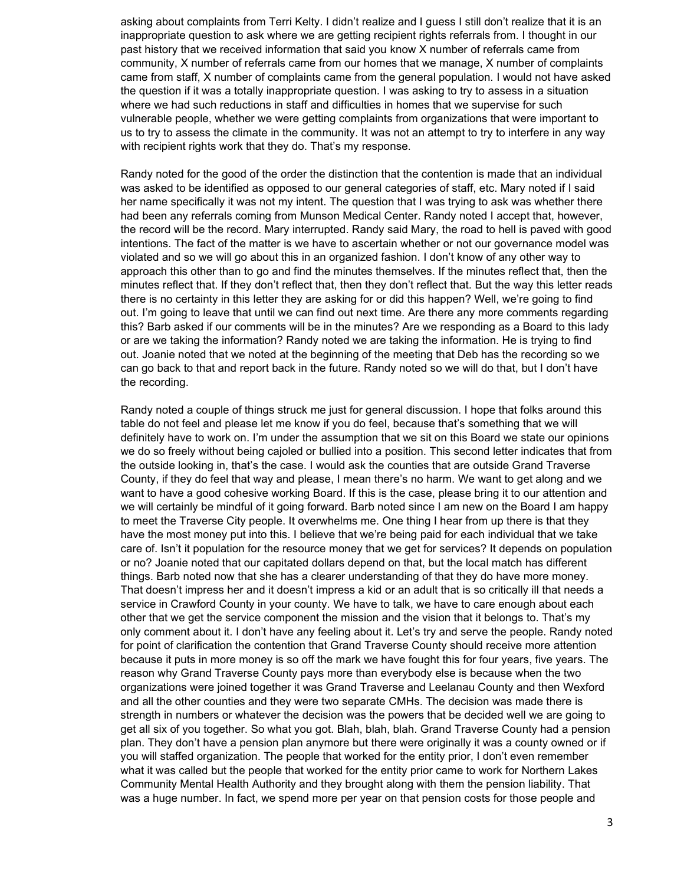asking about complaints from Terri Kelty. I didn't realize and I guess I still don't realize that it is an inappropriate question to ask where we are getting recipient rights referrals from. I thought in our past history that we received information that said you know X number of referrals came from community, X number of referrals came from our homes that we manage, X number of complaints came from staff, X number of complaints came from the general population. I would not have asked the question if it was a totally inappropriate question. I was asking to try to assess in a situation where we had such reductions in staff and difficulties in homes that we supervise for such vulnerable people, whether we were getting complaints from organizations that were important to us to try to assess the climate in the community. It was not an attempt to try to interfere in any way with recipient rights work that they do. That's my response.

Randy noted for the good of the order the distinction that the contention is made that an individual was asked to be identified as opposed to our general categories of staff, etc. Mary noted if I said her name specifically it was not my intent. The question that I was trying to ask was whether there had been any referrals coming from Munson Medical Center. Randy noted I accept that, however, the record will be the record. Mary interrupted. Randy said Mary, the road to hell is paved with good intentions. The fact of the matter is we have to ascertain whether or not our governance model was violated and so we will go about this in an organized fashion. I don't know of any other way to approach this other than to go and find the minutes themselves. If the minutes reflect that, then the minutes reflect that. If they don't reflect that, then they don't reflect that. But the way this letter reads there is no certainty in this letter they are asking for or did this happen? Well, we're going to find out. I'm going to leave that until we can find out next time. Are there any more comments regarding this? Barb asked if our comments will be in the minutes? Are we responding as a Board to this lady or are we taking the information? Randy noted we are taking the information. He is trying to find out. Joanie noted that we noted at the beginning of the meeting that Deb has the recording so we can go back to that and report back in the future. Randy noted so we will do that, but I don't have the recording.

Randy noted a couple of things struck me just for general discussion. I hope that folks around this table do not feel and please let me know if you do feel, because that's something that we will definitely have to work on. I'm under the assumption that we sit on this Board we state our opinions we do so freely without being cajoled or bullied into a position. This second letter indicates that from the outside looking in, that's the case. I would ask the counties that are outside Grand Traverse County, if they do feel that way and please, I mean there's no harm. We want to get along and we want to have a good cohesive working Board. If this is the case, please bring it to our attention and we will certainly be mindful of it going forward. Barb noted since I am new on the Board I am happy to meet the Traverse City people. It overwhelms me. One thing I hear from up there is that they have the most money put into this. I believe that we're being paid for each individual that we take care of. Isn't it population for the resource money that we get for services? It depends on population or no? Joanie noted that our capitated dollars depend on that, but the local match has different things. Barb noted now that she has a clearer understanding of that they do have more money. That doesn't impress her and it doesn't impress a kid or an adult that is so critically ill that needs a service in Crawford County in your county. We have to talk, we have to care enough about each other that we get the service component the mission and the vision that it belongs to. That's my only comment about it. I don't have any feeling about it. Let's try and serve the people. Randy noted for point of clarification the contention that Grand Traverse County should receive more attention because it puts in more money is so off the mark we have fought this for four years, five years. The reason why Grand Traverse County pays more than everybody else is because when the two organizations were joined together it was Grand Traverse and Leelanau County and then Wexford and all the other counties and they were two separate CMHs. The decision was made there is strength in numbers or whatever the decision was the powers that be decided well we are going to get all six of you together. So what you got. Blah, blah, blah. Grand Traverse County had a pension plan. They don't have a pension plan anymore but there were originally it was a county owned or if you will staffed organization. The people that worked for the entity prior, I don't even remember what it was called but the people that worked for the entity prior came to work for Northern Lakes Community Mental Health Authority and they brought along with them the pension liability. That was a huge number. In fact, we spend more per year on that pension costs for those people and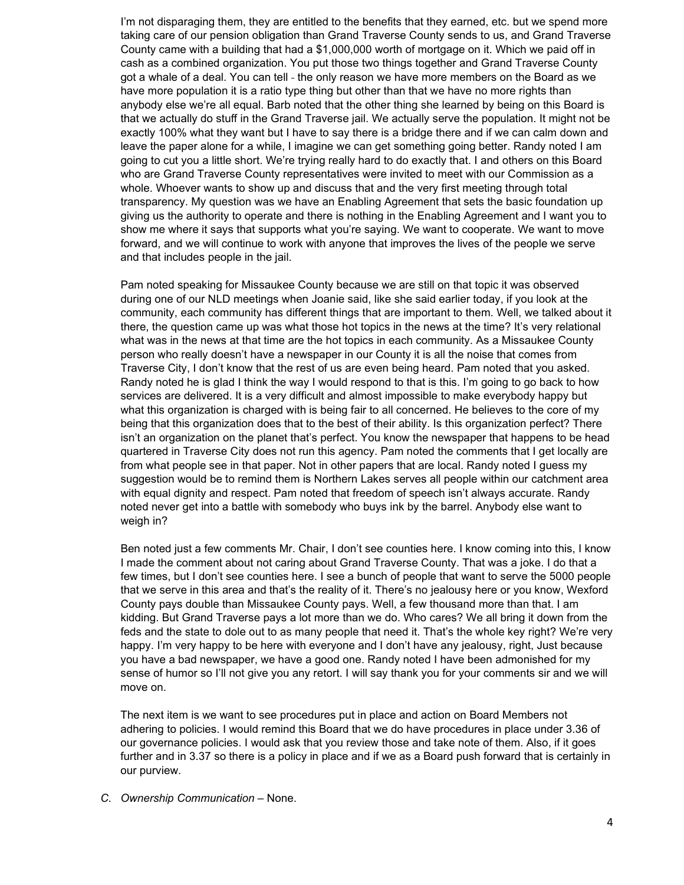I'm not disparaging them, they are entitled to the benefits that they earned, etc. but we spend more taking care of our pension obligation than Grand Traverse County sends to us, and Grand Traverse County came with a building that had a \$1,000,000 worth of mortgage on it. Which we paid off in cash as a combined organization. You put those two things together and Grand Traverse County got a whale of a deal. You can tell - the only reason we have more members on the Board as we have more population it is a ratio type thing but other than that we have no more rights than anybody else we're all equal. Barb noted that the other thing she learned by being on this Board is that we actually do stuff in the Grand Traverse jail. We actually serve the population. It might not be exactly 100% what they want but I have to say there is a bridge there and if we can calm down and leave the paper alone for a while, I imagine we can get something going better. Randy noted I am going to cut you a little short. We're trying really hard to do exactly that. I and others on this Board who are Grand Traverse County representatives were invited to meet with our Commission as a whole. Whoever wants to show up and discuss that and the very first meeting through total transparency. My question was we have an Enabling Agreement that sets the basic foundation up giving us the authority to operate and there is nothing in the Enabling Agreement and I want you to show me where it says that supports what you're saying. We want to cooperate. We want to move forward, and we will continue to work with anyone that improves the lives of the people we serve and that includes people in the jail.

Pam noted speaking for Missaukee County because we are still on that topic it was observed during one of our NLD meetings when Joanie said, like she said earlier today, if you look at the community, each community has different things that are important to them. Well, we talked about it there, the question came up was what those hot topics in the news at the time? It's very relational what was in the news at that time are the hot topics in each community. As a Missaukee County person who really doesn't have a newspaper in our County it is all the noise that comes from Traverse City, I don't know that the rest of us are even being heard. Pam noted that you asked. Randy noted he is glad I think the way I would respond to that is this. I'm going to go back to how services are delivered. It is a very difficult and almost impossible to make everybody happy but what this organization is charged with is being fair to all concerned. He believes to the core of my being that this organization does that to the best of their ability. Is this organization perfect? There isn't an organization on the planet that's perfect. You know the newspaper that happens to be head quartered in Traverse City does not run this agency. Pam noted the comments that I get locally are from what people see in that paper. Not in other papers that are local. Randy noted I guess my suggestion would be to remind them is Northern Lakes serves all people within our catchment area with equal dignity and respect. Pam noted that freedom of speech isn't always accurate. Randy noted never get into a battle with somebody who buys ink by the barrel. Anybody else want to weigh in?

Ben noted just a few comments Mr. Chair, I don't see counties here. I know coming into this, I know I made the comment about not caring about Grand Traverse County. That was a joke. I do that a few times, but I don't see counties here. I see a bunch of people that want to serve the 5000 people that we serve in this area and that's the reality of it. There's no jealousy here or you know, Wexford County pays double than Missaukee County pays. Well, a few thousand more than that. I am kidding. But Grand Traverse pays a lot more than we do. Who cares? We all bring it down from the feds and the state to dole out to as many people that need it. That's the whole key right? We're very happy. I'm very happy to be here with everyone and I don't have any jealousy, right, Just because you have a bad newspaper, we have a good one. Randy noted I have been admonished for my sense of humor so I'll not give you any retort. I will say thank you for your comments sir and we will move on.

The next item is we want to see procedures put in place and action on Board Members not adhering to policies. I would remind this Board that we do have procedures in place under 3.36 of our governance policies. I would ask that you review those and take note of them. Also, if it goes further and in 3.37 so there is a policy in place and if we as a Board push forward that is certainly in our purview.

*C. Ownership Communication –* None.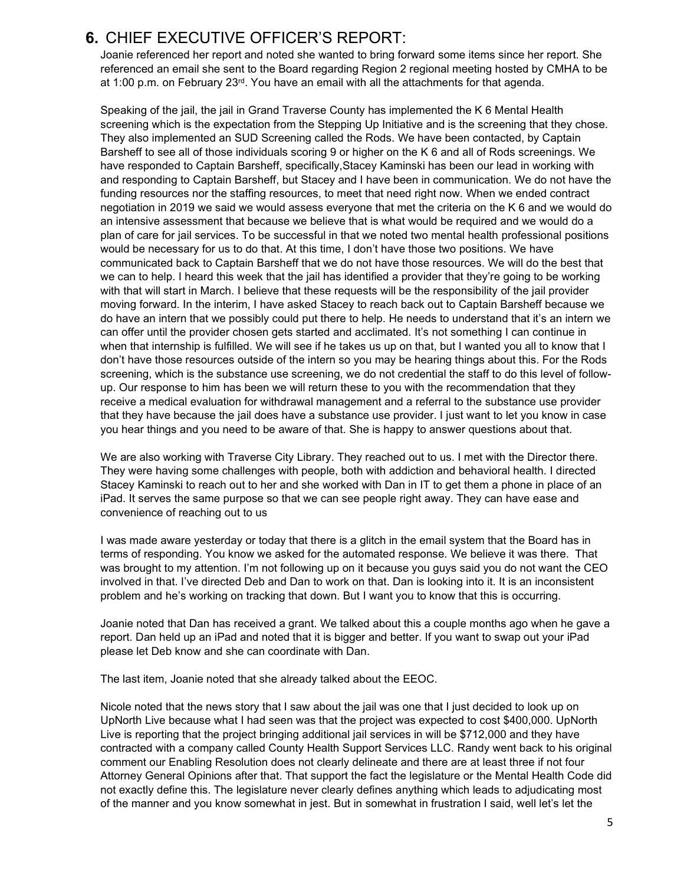# **6.** CHIEF EXECUTIVE OFFICER'S REPORT:

Joanie referenced her report and noted she wanted to bring forward some items since her report. She referenced an email she sent to the Board regarding Region 2 regional meeting hosted by CMHA to be at 1:00 p.m. on February  $23<sup>rd</sup>$ . You have an email with all the attachments for that agenda.

Speaking of the jail, the jail in Grand Traverse County has implemented the K 6 Mental Health screening which is the expectation from the Stepping Up Initiative and is the screening that they chose. They also implemented an SUD Screening called the Rods. We have been contacted, by Captain Barsheff to see all of those individuals scoring 9 or higher on the K 6 and all of Rods screenings. We have responded to Captain Barsheff, specifically,Stacey Kaminski has been our lead in working with and responding to Captain Barsheff, but Stacey and I have been in communication. We do not have the funding resources nor the staffing resources, to meet that need right now. When we ended contract negotiation in 2019 we said we would assess everyone that met the criteria on the K 6 and we would do an intensive assessment that because we believe that is what would be required and we would do a plan of care for jail services. To be successful in that we noted two mental health professional positions would be necessary for us to do that. At this time, I don't have those two positions. We have communicated back to Captain Barsheff that we do not have those resources. We will do the best that we can to help. I heard this week that the jail has identified a provider that they're going to be working with that will start in March. I believe that these requests will be the responsibility of the jail provider moving forward. In the interim, I have asked Stacey to reach back out to Captain Barsheff because we do have an intern that we possibly could put there to help. He needs to understand that it's an intern we can offer until the provider chosen gets started and acclimated. It's not something I can continue in when that internship is fulfilled. We will see if he takes us up on that, but I wanted you all to know that I don't have those resources outside of the intern so you may be hearing things about this. For the Rods screening, which is the substance use screening, we do not credential the staff to do this level of followup. Our response to him has been we will return these to you with the recommendation that they receive a medical evaluation for withdrawal management and a referral to the substance use provider that they have because the jail does have a substance use provider. I just want to let you know in case you hear things and you need to be aware of that. She is happy to answer questions about that.

We are also working with Traverse City Library. They reached out to us. I met with the Director there. They were having some challenges with people, both with addiction and behavioral health. I directed Stacey Kaminski to reach out to her and she worked with Dan in IT to get them a phone in place of an iPad. It serves the same purpose so that we can see people right away. They can have ease and convenience of reaching out to us

I was made aware yesterday or today that there is a glitch in the email system that the Board has in terms of responding. You know we asked for the automated response. We believe it was there. That was brought to my attention. I'm not following up on it because you guys said you do not want the CEO involved in that. I've directed Deb and Dan to work on that. Dan is looking into it. It is an inconsistent problem and he's working on tracking that down. But I want you to know that this is occurring.

Joanie noted that Dan has received a grant. We talked about this a couple months ago when he gave a report. Dan held up an iPad and noted that it is bigger and better. If you want to swap out your iPad please let Deb know and she can coordinate with Dan.

The last item, Joanie noted that she already talked about the EEOC.

Nicole noted that the news story that I saw about the jail was one that I just decided to look up on UpNorth Live because what I had seen was that the project was expected to cost \$400,000. UpNorth Live is reporting that the project bringing additional jail services in will be \$712,000 and they have contracted with a company called County Health Support Services LLC. Randy went back to his original comment our Enabling Resolution does not clearly delineate and there are at least three if not four Attorney General Opinions after that. That support the fact the legislature or the Mental Health Code did not exactly define this. The legislature never clearly defines anything which leads to adjudicating most of the manner and you know somewhat in jest. But in somewhat in frustration I said, well let's let the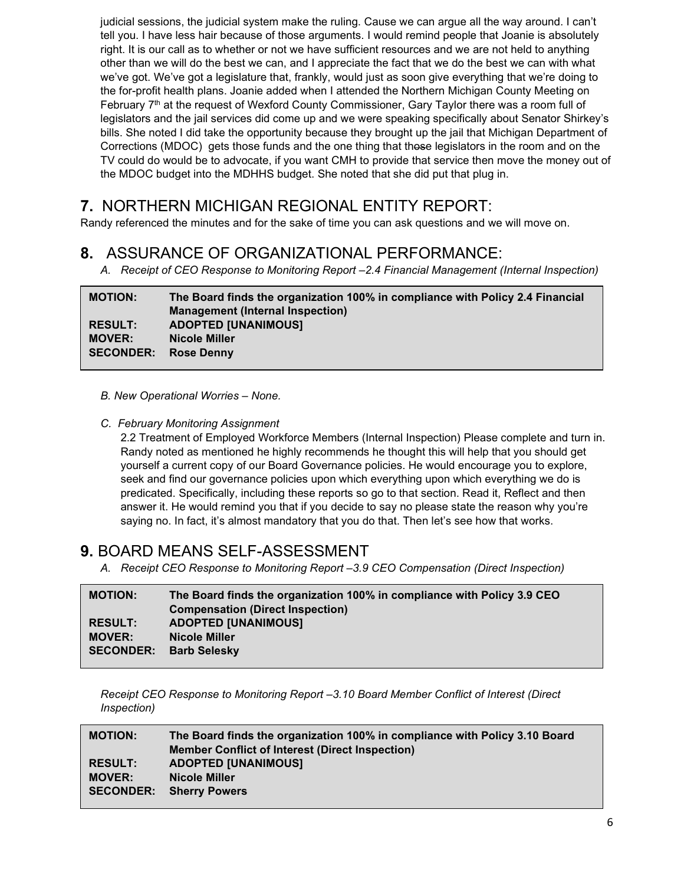judicial sessions, the judicial system make the ruling. Cause we can argue all the way around. I can't tell you. I have less hair because of those arguments. I would remind people that Joanie is absolutely right. It is our call as to whether or not we have sufficient resources and we are not held to anything other than we will do the best we can, and I appreciate the fact that we do the best we can with what we've got. We've got a legislature that, frankly, would just as soon give everything that we're doing to the for-profit health plans. Joanie added when I attended the Northern Michigan County Meeting on February  $7<sup>th</sup>$  at the request of Wexford County Commissioner, Gary Taylor there was a room full of legislators and the jail services did come up and we were speaking specifically about Senator Shirkey's bills. She noted I did take the opportunity because they brought up the jail that Michigan Department of Corrections (MDOC) gets those funds and the one thing that those legislators in the room and on the TV could do would be to advocate, if you want CMH to provide that service then move the money out of the MDOC budget into the MDHHS budget. She noted that she did put that plug in.

# **7.** NORTHERN MICHIGAN REGIONAL ENTITY REPORT:

Randy referenced the minutes and for the sake of time you can ask questions and we will move on.

# **8.** ASSURANCE OF ORGANIZATIONAL PERFORMANCE:

*A. Receipt of CEO Response to Monitoring Report –2.4 Financial Management (Internal Inspection)*

| <b>MOTION:</b>   | The Board finds the organization 100% in compliance with Policy 2.4 Financial |
|------------------|-------------------------------------------------------------------------------|
|                  | <b>Management (Internal Inspection)</b>                                       |
| <b>RESULT:</b>   | <b>ADOPTED [UNANIMOUS]</b>                                                    |
| <b>MOVER:</b>    | Nicole Miller                                                                 |
| <b>SECONDER:</b> | <b>Rose Denny</b>                                                             |

*B. New Operational Worries – None.*

#### *C. February Monitoring Assignment*

2.2 Treatment of Employed Workforce Members (Internal Inspection) Please complete and turn in. Randy noted as mentioned he highly recommends he thought this will help that you should get yourself a current copy of our Board Governance policies. He would encourage you to explore, seek and find our governance policies upon which everything upon which everything we do is predicated. Specifically, including these reports so go to that section. Read it, Reflect and then answer it. He would remind you that if you decide to say no please state the reason why you're saying no. In fact, it's almost mandatory that you do that. Then let's see how that works.

## **9.** BOARD MEANS SELF-ASSESSMENT

*A. Receipt CEO Response to Monitoring Report –3.9 CEO Compensation (Direct Inspection)*

| <b>MOTION:</b>   | The Board finds the organization 100% in compliance with Policy 3.9 CEO |
|------------------|-------------------------------------------------------------------------|
|                  | <b>Compensation (Direct Inspection)</b>                                 |
| <b>RESULT:</b>   | <b>ADOPTED [UNANIMOUS]</b>                                              |
| <b>MOVER:</b>    | <b>Nicole Miller</b>                                                    |
| <b>SECONDER:</b> | <b>Barb Selesky</b>                                                     |
|                  |                                                                         |

*Receipt CEO Response to Monitoring Report –3.10 Board Member Conflict of Interest (Direct Inspection)*

| <b>MOTION:</b>   | The Board finds the organization 100% in compliance with Policy 3.10 Board |
|------------------|----------------------------------------------------------------------------|
|                  | <b>Member Conflict of Interest (Direct Inspection)</b>                     |
| <b>RESULT:</b>   | <b>ADOPTED [UNANIMOUS]</b>                                                 |
| <b>MOVER:</b>    | <b>Nicole Miller</b>                                                       |
| <b>SECONDER:</b> | <b>Sherry Powers</b>                                                       |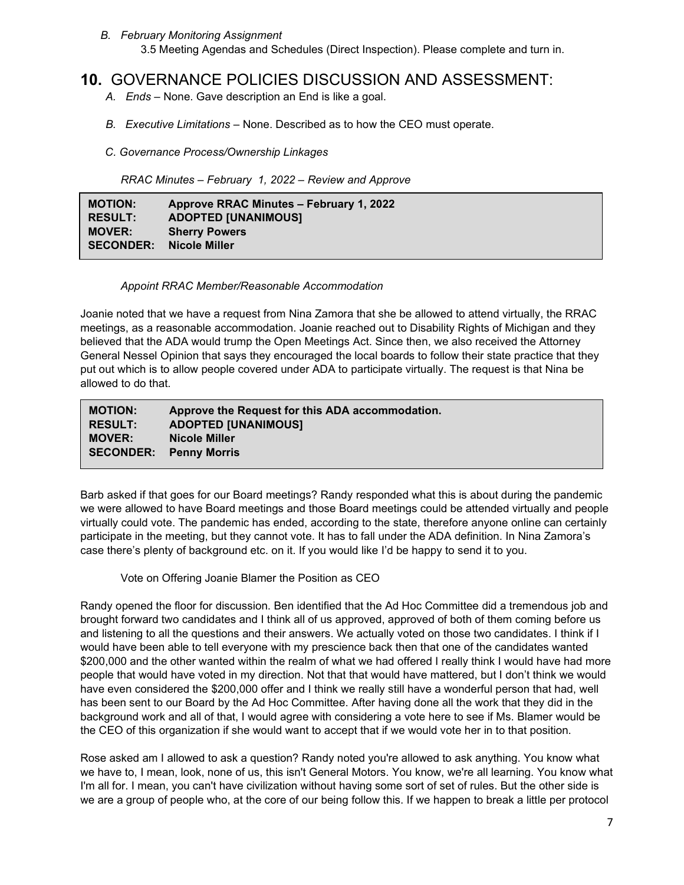*B. February Monitoring Assignment* 3.5 Meeting Agendas and Schedules (Direct Inspection). Please complete and turn in.

### **10.** GOVERNANCE POLICIES DISCUSSION AND ASSESSMENT:

- *A. Ends –* None. Gave description an End is like a goal.
- *B. Executive Limitations –* None. Described as to how the CEO must operate.
- *C. Governance Process/Ownership Linkages*

 *RRAC Minutes – February 1, 2022 – Review and Approve*

| <b>MOTION:</b>   | Approve RRAC Minutes - February 1, 2022 |
|------------------|-----------------------------------------|
| <b>RESULT:</b>   | <b>ADOPTED [UNANIMOUS]</b>              |
| <b>MOVER:</b>    | <b>Sherry Powers</b>                    |
| <b>SECONDER:</b> | Nicole Miller                           |

#### *Appoint RRAC Member/Reasonable Accommodation*

Joanie noted that we have a request from Nina Zamora that she be allowed to attend virtually, the RRAC meetings, as a reasonable accommodation. Joanie reached out to Disability Rights of Michigan and they believed that the ADA would trump the Open Meetings Act. Since then, we also received the Attorney General Nessel Opinion that says they encouraged the local boards to follow their state practice that they put out which is to allow people covered under ADA to participate virtually. The request is that Nina be allowed to do that.

| <b>MOTION:</b>                | Approve the Request for this ADA accommodation. |
|-------------------------------|-------------------------------------------------|
| <b>RESULT:</b>                | <b>ADOPTED [UNANIMOUS]</b>                      |
| <b>MOVER:</b>                 | Nicole Miller                                   |
| <b>SECONDER: Penny Morris</b> |                                                 |

Barb asked if that goes for our Board meetings? Randy responded what this is about during the pandemic we were allowed to have Board meetings and those Board meetings could be attended virtually and people virtually could vote. The pandemic has ended, according to the state, therefore anyone online can certainly participate in the meeting, but they cannot vote. It has to fall under the ADA definition. In Nina Zamora's case there's plenty of background etc. on it. If you would like I'd be happy to send it to you.

Vote on Offering Joanie Blamer the Position as CEO

Randy opened the floor for discussion. Ben identified that the Ad Hoc Committee did a tremendous job and brought forward two candidates and I think all of us approved, approved of both of them coming before us and listening to all the questions and their answers. We actually voted on those two candidates. I think if I would have been able to tell everyone with my prescience back then that one of the candidates wanted \$200,000 and the other wanted within the realm of what we had offered I really think I would have had more people that would have voted in my direction. Not that that would have mattered, but I don't think we would have even considered the \$200,000 offer and I think we really still have a wonderful person that had, well has been sent to our Board by the Ad Hoc Committee. After having done all the work that they did in the background work and all of that, I would agree with considering a vote here to see if Ms. Blamer would be the CEO of this organization if she would want to accept that if we would vote her in to that position.

Rose asked am I allowed to ask a question? Randy noted you're allowed to ask anything. You know what we have to, I mean, look, none of us, this isn't General Motors. You know, we're all learning. You know what I'm all for. I mean, you can't have civilization without having some sort of set of rules. But the other side is we are a group of people who, at the core of our being follow this. If we happen to break a little per protocol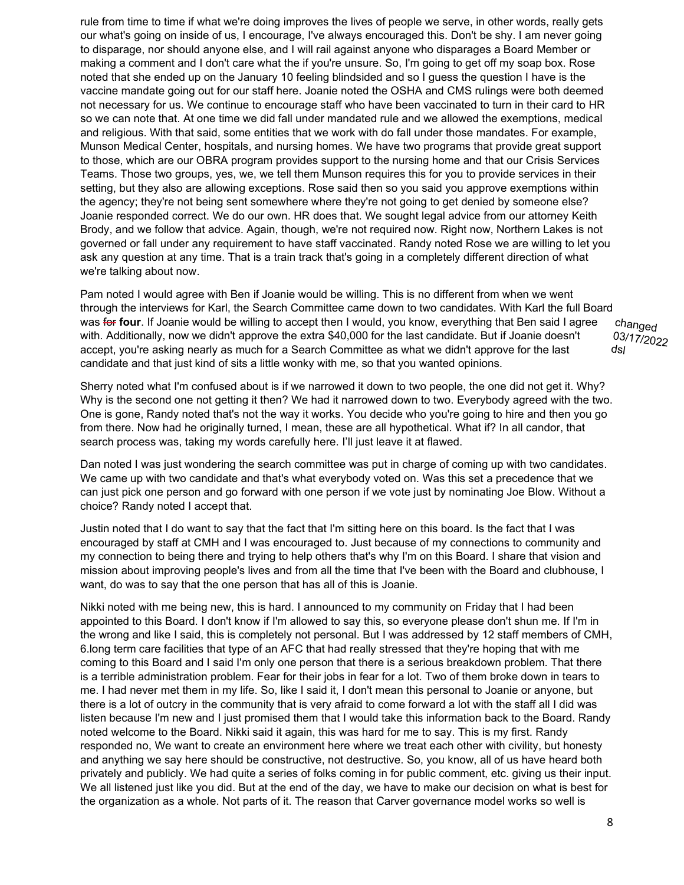rule from time to time if what we're doing improves the lives of people we serve, in other words, really gets our what's going on inside of us, I encourage, I've always encouraged this. Don't be shy. I am never going to disparage, nor should anyone else, and I will rail against anyone who disparages a Board Member or making a comment and I don't care what the if you're unsure. So, I'm going to get off my soap box. Rose noted that she ended up on the January 10 feeling blindsided and so I guess the question I have is the vaccine mandate going out for our staff here. Joanie noted the OSHA and CMS rulings were both deemed not necessary for us. We continue to encourage staff who have been vaccinated to turn in their card to HR so we can note that. At one time we did fall under mandated rule and we allowed the exemptions, medical and religious. With that said, some entities that we work with do fall under those mandates. For example, Munson Medical Center, hospitals, and nursing homes. We have two programs that provide great support to those, which are our OBRA program provides support to the nursing home and that our Crisis Services Teams. Those two groups, yes, we, we tell them Munson requires this for you to provide services in their setting, but they also are allowing exceptions. Rose said then so you said you approve exemptions within the agency; they're not being sent somewhere where they're not going to get denied by someone else? Joanie responded correct. We do our own. HR does that. We sought legal advice from our attorney Keith Brody, and we follow that advice. Again, though, we're not required now. Right now, Northern Lakes is not governed or fall under any requirement to have staff vaccinated. Randy noted Rose we are willing to let you ask any question at any time. That is a train track that's going in a completely different direction of what we're talking about now.

Pam noted I would agree with Ben if Joanie would be willing. This is no different from when we went through the interviews for Karl, the Search Committee came down to two candidates. With Karl the full Board was for four. If Joanie would be willing to accept then I would, you know, everything that Ben said I agree with. Additionally, now we didn't approve the extra \$40,000 for the last candidate. But if Joanie doesn't accept, you're asking nearly as much for a Search Committee as what we didn't approve for the last candidate and that just kind of sits a little wonky with me, so that you wanted opinions.

Sherry noted what I'm confused about is if we narrowed it down to two people, the one did not get it. Why? Why is the second one not getting it then? We had it narrowed down to two. Everybody agreed with the two. One is gone, Randy noted that's not the way it works. You decide who you're going to hire and then you go from there. Now had he originally turned, I mean, these are all hypothetical. What if? In all candor, that search process was, taking my words carefully here. I'll just leave it at flawed.

Dan noted I was just wondering the search committee was put in charge of coming up with two candidates. We came up with two candidate and that's what everybody voted on. Was this set a precedence that we can just pick one person and go forward with one person if we vote just by nominating Joe Blow. Without a choice? Randy noted I accept that.

Justin noted that I do want to say that the fact that I'm sitting here on this board. Is the fact that I was encouraged by staff at CMH and I was encouraged to. Just because of my connections to community and my connection to being there and trying to help others that's why I'm on this Board. I share that vision and mission about improving people's lives and from all the time that I've been with the Board and clubhouse, I want, do was to say that the one person that has all of this is Joanie.

Nikki noted with me being new, this is hard. I announced to my community on Friday that I had been appointed to this Board. I don't know if I'm allowed to say this, so everyone please don't shun me. If I'm in the wrong and like I said, this is completely not personal. But I was addressed by 12 staff members of CMH, 6.long term care facilities that type of an AFC that had really stressed that they're hoping that with me coming to this Board and I said I'm only one person that there is a serious breakdown problem. That there is a terrible administration problem. Fear for their jobs in fear for a lot. Two of them broke down in tears to me. I had never met them in my life. So, like I said it, I don't mean this personal to Joanie or anyone, but there is a lot of outcry in the community that is very afraid to come forward a lot with the staff all I did was listen because I'm new and I just promised them that I would take this information back to the Board. Randy noted welcome to the Board. Nikki said it again, this was hard for me to say. This is my first. Randy responded no, We want to create an environment here where we treat each other with civility, but honesty and anything we say here should be constructive, not destructive. So, you know, all of us have heard both privately and publicly. We had quite a series of folks coming in for public comment, etc. giving us their input. We all listened just like you did. But at the end of the day, we have to make our decision on what is best for the organization as a whole. Not parts of it. The reason that Carver governance model works so well is

changed 03/17/2022 dsl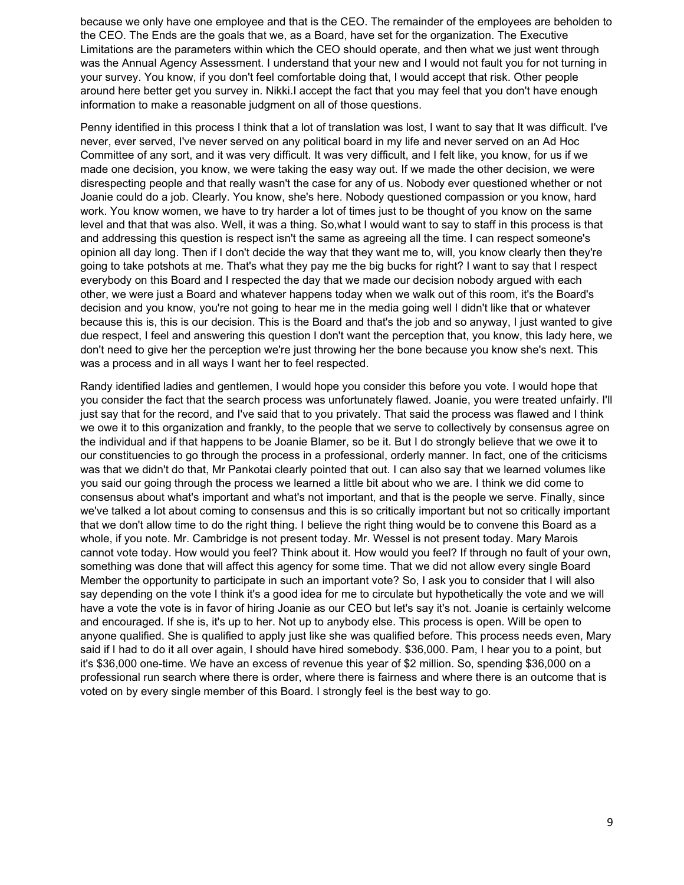because we only have one employee and that is the CEO. The remainder of the employees are beholden to the CEO. The Ends are the goals that we, as a Board, have set for the organization. The Executive Limitations are the parameters within which the CEO should operate, and then what we just went through was the Annual Agency Assessment. I understand that your new and I would not fault you for not turning in your survey. You know, if you don't feel comfortable doing that, I would accept that risk. Other people around here better get you survey in. Nikki.I accept the fact that you may feel that you don't have enough information to make a reasonable judgment on all of those questions.

Penny identified in this process I think that a lot of translation was lost, I want to say that It was difficult. I've never, ever served, I've never served on any political board in my life and never served on an Ad Hoc Committee of any sort, and it was very difficult. It was very difficult, and I felt like, you know, for us if we made one decision, you know, we were taking the easy way out. If we made the other decision, we were disrespecting people and that really wasn't the case for any of us. Nobody ever questioned whether or not Joanie could do a job. Clearly. You know, she's here. Nobody questioned compassion or you know, hard work. You know women, we have to try harder a lot of times just to be thought of you know on the same level and that that was also. Well, it was a thing. So,what I would want to say to staff in this process is that and addressing this question is respect isn't the same as agreeing all the time. I can respect someone's opinion all day long. Then if I don't decide the way that they want me to, will, you know clearly then they're going to take potshots at me. That's what they pay me the big bucks for right? I want to say that I respect everybody on this Board and I respected the day that we made our decision nobody argued with each other, we were just a Board and whatever happens today when we walk out of this room, it's the Board's decision and you know, you're not going to hear me in the media going well I didn't like that or whatever because this is, this is our decision. This is the Board and that's the job and so anyway, I just wanted to give due respect, I feel and answering this question I don't want the perception that, you know, this lady here, we don't need to give her the perception we're just throwing her the bone because you know she's next. This was a process and in all ways I want her to feel respected.

Randy identified ladies and gentlemen, I would hope you consider this before you vote. I would hope that you consider the fact that the search process was unfortunately flawed. Joanie, you were treated unfairly. I'll just say that for the record, and I've said that to you privately. That said the process was flawed and I think we owe it to this organization and frankly, to the people that we serve to collectively by consensus agree on the individual and if that happens to be Joanie Blamer, so be it. But I do strongly believe that we owe it to our constituencies to go through the process in a professional, orderly manner. In fact, one of the criticisms was that we didn't do that, Mr Pankotai clearly pointed that out. I can also say that we learned volumes like you said our going through the process we learned a little bit about who we are. I think we did come to consensus about what's important and what's not important, and that is the people we serve. Finally, since we've talked a lot about coming to consensus and this is so critically important but not so critically important that we don't allow time to do the right thing. I believe the right thing would be to convene this Board as a whole, if you note. Mr. Cambridge is not present today. Mr. Wessel is not present today. Mary Marois cannot vote today. How would you feel? Think about it. How would you feel? If through no fault of your own, something was done that will affect this agency for some time. That we did not allow every single Board Member the opportunity to participate in such an important vote? So, I ask you to consider that I will also say depending on the vote I think it's a good idea for me to circulate but hypothetically the vote and we will have a vote the vote is in favor of hiring Joanie as our CEO but let's say it's not. Joanie is certainly welcome and encouraged. If she is, it's up to her. Not up to anybody else. This process is open. Will be open to anyone qualified. She is qualified to apply just like she was qualified before. This process needs even, Mary said if I had to do it all over again, I should have hired somebody. \$36,000. Pam, I hear you to a point, but it's \$36,000 one-time. We have an excess of revenue this year of \$2 million. So, spending \$36,000 on a professional run search where there is order, where there is fairness and where there is an outcome that is voted on by every single member of this Board. I strongly feel is the best way to go.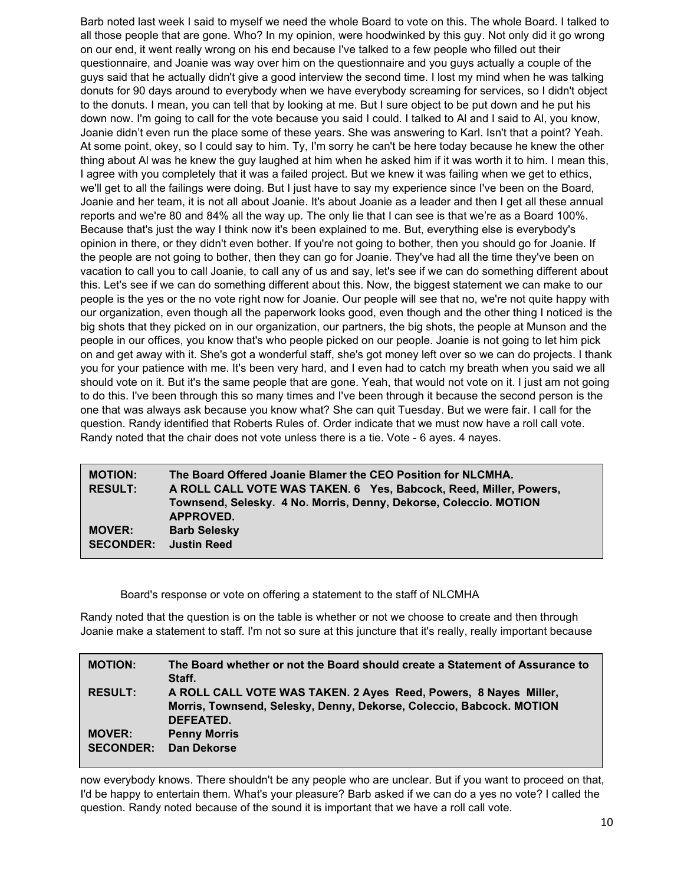Barb noted last week I said to myself we need the whole Board to vote on this. The whole Board. I talked to all those people that are gone. Who? In my opinion, were hoodwinked by this guy. Not only did it go wrong on our end, it went really wrong on his end because I've talked to a few people who filled out their questionnaire, and Joanie was way over him on the questionnaire and you guys actually a couple of the guys said that he actually didn't give a good interview the second time. I lost my mind when he was talking donuts for 90 days around to everybody when we have everybody screaming for services, so I didn't object to the donuts. I mean, you can tell that by looking at me. But I sure object to be put down and he put his down now. I'm going to call for the vote because you said I could. I talked to Al and I said to Al, you know, Joanie didn't even run the place some of these years. She was answering to Karl. Isn't that a point? Yeah. At some point, okey, so I could say to him. Ty, I'm sorry he can't be here today because he knew the other thing about Al was he knew the guy laughed at him when he asked him if it was worth it to him. I mean this, I agree with you completely that it was a failed project. But we knew it was failing when we get to ethics, we'll get to all the failings were doing. But I just have to say my experience since I've been on the Board, Joanie and her team, it is not all about Joanie. It's about Joanie as a leader and then I get all these annual reports and we're 80 and 84% all the way up. The only lie that I can see is that we're as a Board 100%. Because that's just the way I think now it's been explained to me. But, everything else is everybody's opinion in there, or they didn't even bother. If you're not going to bother, then you should go for Joanie. If the people are not going to bother, then they can go for Joanie. They've had all the time they've been on vacation to call you to call Joanie, to call any of us and say, let's see if we can do something different about this. Let's see if we can do something different about this. Now, the biggest statement we can make to our people is the yes or the no vote right now for Joanie. Our people will see that no, we're not quite happy with our organization, even though all the paperwork looks good, even though and the other thing I noticed is the big shots that they picked on in our organization, our partners, the big shots, the people at Munson and the people in our offices, you know that's who people picked on our people. Joanie is not going to let him pick on and get away with it. She's got a wonderful staff, she's got money left over so we can do projects. I thank you for your patience with me. It's been very hard, and I even had to catch my breath when you said we all should vote on it. But it's the same people that are gone. Yeah, that would not vote on it. I just am not going to do this. I've been through this so many times and I've been through it because the second person is the one that was always ask because you know what? She can quit Tuesday. But we were fair. I call for the question. Randy identified that Roberts Rules of. Order indicate that we must now have a roll call vote. Randy noted that the chair does not vote unless there is a tie. Vote - 6 ayes. 4 nayes.

| <b>MOTION:</b>                         | The Board Offered Joanie Blamer the CEO Position for NLCMHA.      |
|----------------------------------------|-------------------------------------------------------------------|
| <b>RESULT:</b>                         | A ROLL CALL VOTE WAS TAKEN. 6 Yes, Babcock, Reed, Miller, Powers, |
|                                        | Townsend, Selesky. 4 No. Morris, Denny, Dekorse, Coleccio. MOTION |
|                                        | APPROVED.                                                         |
| <b>MOVER:</b>                          | <b>Barb Selesky</b>                                               |
| <b>SECONDER:</b><br><b>Justin Reed</b> |                                                                   |

Board's response or vote on offering a statement to the staff of NLCMHA

Randy noted that the question is on the table is whether or not we choose to create and then through Joanie make a statement to staff. I'm not so sure at this juncture that it's really, really important because

| <b>MOTION:</b>                    | The Board whether or not the Board should create a Statement of Assurance to<br>Staff.                                                                |
|-----------------------------------|-------------------------------------------------------------------------------------------------------------------------------------------------------|
| <b>RESULT:</b>                    | A ROLL CALL VOTE WAS TAKEN. 2 Ayes Reed, Powers, 8 Nayes Miller,<br>Morris, Townsend, Selesky, Denny, Dekorse, Coleccio, Babcock. MOTION<br>DEFEATED. |
| <b>MOVER:</b><br><b>SECONDER:</b> | <b>Penny Morris</b><br>Dan Dekorse                                                                                                                    |

now everybody knows. There shouldn't be any people who are unclear. But if you want to proceed on that, I'd be happy to entertain them. What's your pleasure? Barb asked if we can do a yes no vote? I called the question. Randy noted because of the sound it is important that we have a roll call vote.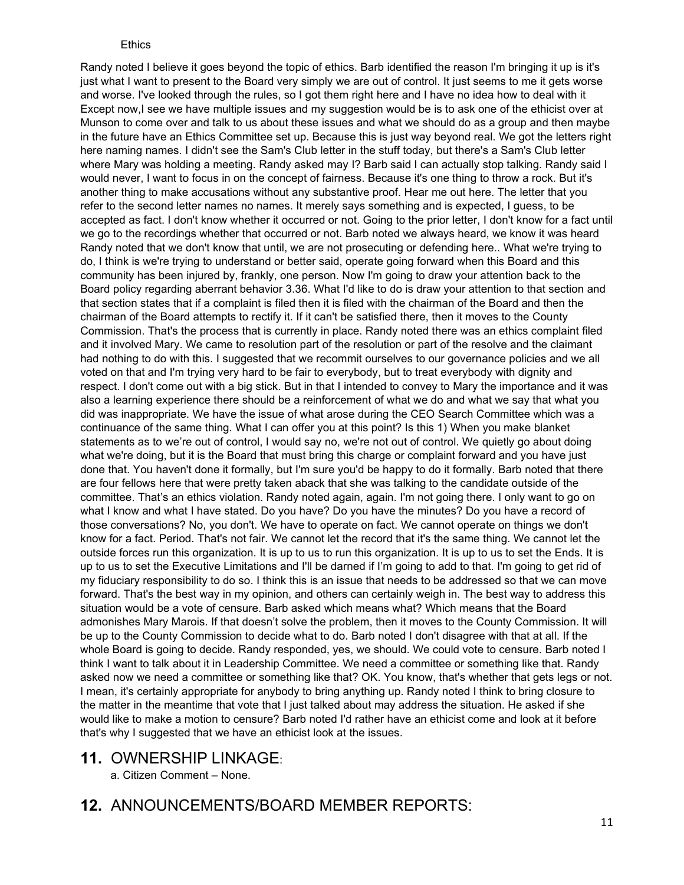#### **Ethics**

Randy noted I believe it goes beyond the topic of ethics. Barb identified the reason I'm bringing it up is it's just what I want to present to the Board very simply we are out of control. It just seems to me it gets worse and worse. I've looked through the rules, so I got them right here and I have no idea how to deal with it Except now, I see we have multiple issues and my suggestion would be is to ask one of the ethicist over at Munson to come over and talk to us about these issues and what we should do as a group and then maybe in the future have an Ethics Committee set up. Because this is just way beyond real. We got the letters right here naming names. I didn't see the Sam's Club letter in the stuff today, but there's a Sam's Club letter where Mary was holding a meeting. Randy asked may I? Barb said I can actually stop talking. Randy said I would never, I want to focus in on the concept of fairness. Because it's one thing to throw a rock. But it's another thing to make accusations without any substantive proof. Hear me out here. The letter that you refer to the second letter names no names. It merely says something and is expected, I guess, to be accepted as fact. I don't know whether it occurred or not. Going to the prior letter, I don't know for a fact until we go to the recordings whether that occurred or not. Barb noted we always heard, we know it was heard Randy noted that we don't know that until, we are not prosecuting or defending here.. What we're trying to do, I think is we're trying to understand or better said, operate going forward when this Board and this community has been injured by, frankly, one person. Now I'm going to draw your attention back to the Board policy regarding aberrant behavior 3.36. What I'd like to do is draw your attention to that section and that section states that if a complaint is filed then it is filed with the chairman of the Board and then the chairman of the Board attempts to rectify it. If it can't be satisfied there, then it moves to the County Commission. That's the process that is currently in place. Randy noted there was an ethics complaint filed and it involved Mary. We came to resolution part of the resolution or part of the resolve and the claimant had nothing to do with this. I suggested that we recommit ourselves to our governance policies and we all voted on that and I'm trying very hard to be fair to everybody, but to treat everybody with dignity and respect. I don't come out with a big stick. But in that I intended to convey to Mary the importance and it was also a learning experience there should be a reinforcement of what we do and what we say that what you did was inappropriate. We have the issue of what arose during the CEO Search Committee which was a continuance of the same thing. What I can offer you at this point? Is this 1) When you make blanket statements as to we're out of control, I would say no, we're not out of control. We quietly go about doing what we're doing, but it is the Board that must bring this charge or complaint forward and you have just done that. You haven't done it formally, but I'm sure you'd be happy to do it formally. Barb noted that there are four fellows here that were pretty taken aback that she was talking to the candidate outside of the committee. That's an ethics violation. Randy noted again, again. I'm not going there. I only want to go on what I know and what I have stated. Do you have? Do you have the minutes? Do you have a record of those conversations? No, you don't. We have to operate on fact. We cannot operate on things we don't know for a fact. Period. That's not fair. We cannot let the record that it's the same thing. We cannot let the outside forces run this organization. It is up to us to run this organization. It is up to us to set the Ends. It is up to us to set the Executive Limitations and I'll be darned if I'm going to add to that. I'm going to get rid of my fiduciary responsibility to do so. I think this is an issue that needs to be addressed so that we can move forward. That's the best way in my opinion, and others can certainly weigh in. The best way to address this situation would be a vote of censure. Barb asked which means what? Which means that the Board admonishes Mary Marois. If that doesn't solve the problem, then it moves to the County Commission. It will be up to the County Commission to decide what to do. Barb noted I don't disagree with that at all. If the whole Board is going to decide. Randy responded, yes, we should. We could vote to censure. Barb noted I think I want to talk about it in Leadership Committee. We need a committee or something like that. Randy asked now we need a committee or something like that? OK. You know, that's whether that gets legs or not. I mean, it's certainly appropriate for anybody to bring anything up. Randy noted I think to bring closure to the matter in the meantime that vote that I just talked about may address the situation. He asked if she would like to make a motion to censure? Barb noted I'd rather have an ethicist come and look at it before that's why I suggested that we have an ethicist look at the issues.

- **11.** OWNERSHIP LINKAGE:
	- a. Citizen Comment None.
- **12.** ANNOUNCEMENTS/BOARD MEMBER REPORTS: